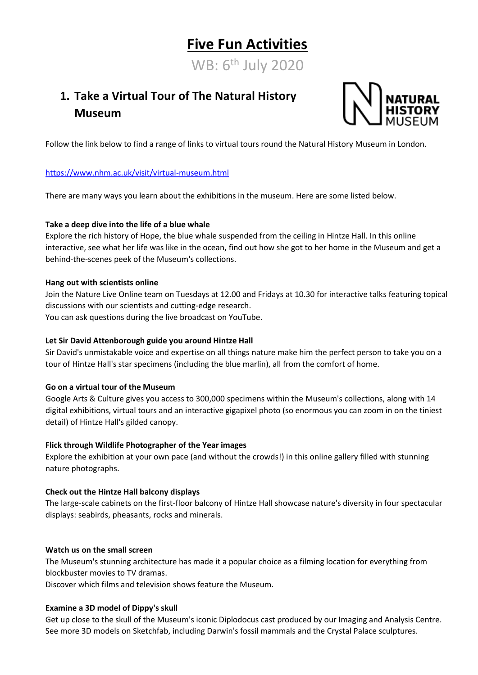# **Five Fun Activities**

WB: 6<sup>th</sup> July 2020

# **1. Take a Virtual Tour of The Natural History Museum**



Follow the link below to find a range of links to virtual tours round the Natural History Museum in London.

#### <https://www.nhm.ac.uk/visit/virtual-museum.html>

There are many ways you learn about the exhibitions in the museum. Here are some listed below.

#### **Take a deep dive into the life of a blue whale**

Explore the rich history of Hope, the blue whale suspended from the ceiling in Hintze Hall. In this online interactive, see what her life was like in the ocean, find out how she got to her home in the Museum and get a behind-the-scenes peek of the Museum's collections.

#### **Hang out with scientists online**

Join the Nature Live Online team on Tuesdays at 12.00 and Fridays at 10.30 for interactive talks featuring topical discussions with our scientists and cutting-edge research. You can ask questions during the live broadcast on YouTube.

#### **Let Sir David Attenborough guide you around Hintze Hall**

Sir David's unmistakable voice and expertise on all things nature make him the perfect person to take you on a tour of Hintze Hall's star specimens (including the blue marlin), all from the comfort of home.

#### **Go on a virtual tour of the Museum**

Google Arts & Culture gives you access to 300,000 specimens within the Museum's collections, along with 14 digital exhibitions, virtual tours and an interactive gigapixel photo (so enormous you can zoom in on the tiniest detail) of Hintze Hall's gilded canopy.

#### **Flick through Wildlife Photographer of the Year images**

Explore the exhibition at your own pace (and without the crowds!) in this online gallery filled with stunning nature photographs.

#### **Check out the Hintze Hall balcony displays**

The large-scale cabinets on the first-floor balcony of Hintze Hall showcase nature's diversity in four spectacular displays: seabirds, pheasants, rocks and minerals.

#### **Watch us on the small screen**

The Museum's stunning architecture has made it a popular choice as a filming location for everything from blockbuster movies to TV dramas.

Discover which films and television shows feature the Museum.

#### **Examine a 3D model of Dippy's skull**

Get up close to the skull of the Museum's iconic Diplodocus cast produced by our Imaging and Analysis Centre. See more 3D models on Sketchfab, including Darwin's fossil mammals and the Crystal Palace sculptures.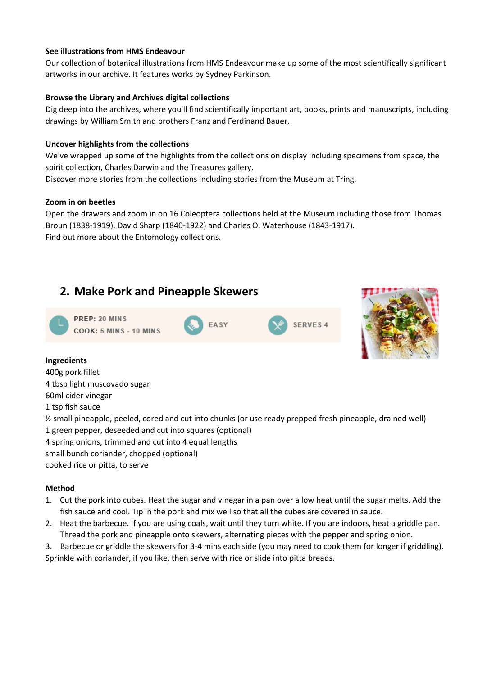#### **See illustrations from HMS Endeavour**

Our collection of botanical illustrations from HMS Endeavour make up some of the most scientifically significant artworks in our archive. It features works by Sydney Parkinson.

#### **Browse the Library and Archives digital collections**

Dig deep into the archives, where you'll find scientifically important art, books, prints and manuscripts, including drawings by William Smith and brothers Franz and Ferdinand Bauer.

#### **Uncover highlights from the collections**

We've wrapped up some of the highlights from the collections on display including specimens from space, the spirit collection, Charles Darwin and the Treasures gallery.

Discover more stories from the collections including stories from the Museum at Tring.

#### **Zoom in on beetles**

Open the drawers and zoom in on 16 Coleoptera collections held at the Museum including those from Thomas Broun (1838-1919), David Sharp (1840-1922) and Charles O. Waterhouse (1843-1917). Find out more about the Entomology collections.

### **2. Make Pork and Pineapple Skewers**





#### **Ingredients**

400g pork fillet 4 tbsp light muscovado sugar 60ml cider vinegar 1 tsp fish sauce ½ small pineapple, peeled, cored and cut into chunks (or use ready prepped fresh pineapple, drained well) 1 green pepper, deseeded and cut into squares (optional) 4 spring onions, trimmed and cut into 4 equal lengths small bunch coriander, chopped (optional) cooked rice or pitta, to serve

#### **Method**

- 1. Cut the pork into cubes. Heat the sugar and vinegar in a pan over a low heat until the sugar melts. Add the fish sauce and cool. Tip in the pork and mix well so that all the cubes are covered in sauce.
- 2. Heat the barbecue. If you are using coals, wait until they turn white. If you are indoors, heat a griddle pan. Thread the pork and pineapple onto skewers, alternating pieces with the pepper and spring onion.
- 3. Barbecue or griddle the skewers for 3-4 mins each side (you may need to cook them for longer if griddling). Sprinkle with coriander, if you like, then serve with rice or slide into pitta breads.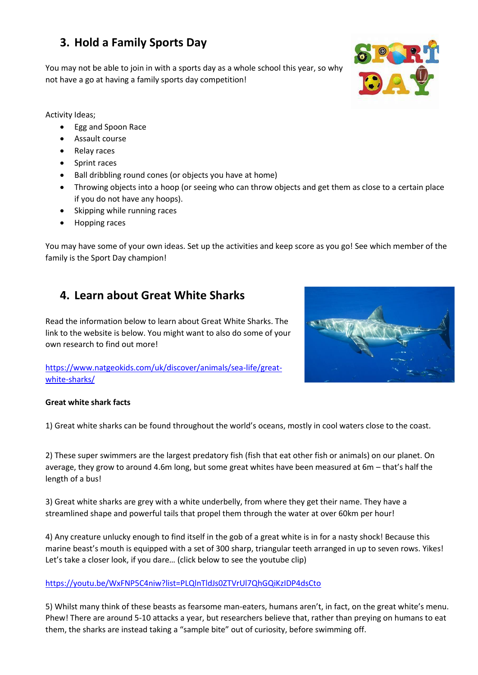# **3. Hold a Family Sports Day**

You may not be able to join in with a sports day as a whole school this year, so why not have a go at having a family sports day competition!

Activity Ideas;

- Egg and Spoon Race
- Assault course
- Relay races
- Sprint races
- Ball dribbling round cones (or objects you have at home)
- Throwing objects into a hoop (or seeing who can throw objects and get them as close to a certain place if you do not have any hoops).
- Skipping while running races
- Hopping races

You may have some of your own ideas. Set up the activities and keep score as you go! See which member of the family is the Sport Day champion!

## **4. Learn about Great White Sharks**

Read the information below to learn about Great White Sharks. The link to the website is below. You might want to also do some of your own research to find out more!

[https://www.natgeokids.com/uk/discover/animals/sea-life/great](https://www.natgeokids.com/uk/discover/animals/sea-life/great-white-sharks/)[white-sharks/](https://www.natgeokids.com/uk/discover/animals/sea-life/great-white-sharks/)



#### **Great white shark facts**

1) Great white sharks can be found throughout the world's oceans, mostly in cool waters close to the coast.

2) These super swimmers are the largest predatory fish (fish that eat other fish or animals) on our planet. On average, they grow to around 4.6m long, but some great whites have been measured at 6m – that's half the length of a bus!

3) Great white sharks are grey with a white underbelly, from where they get their name. They have a streamlined shape and powerful tails that propel them through the water at over 60km per hour!

4) Any creature unlucky enough to find itself in the gob of a great white is in for a nasty shock! Because this marine beast's mouth is equipped with a set of 300 sharp, triangular teeth arranged in up to seven rows. Yikes! Let's take a closer look, if you dare… (click below to see the youtube clip)

#### <https://youtu.be/WxFNP5C4niw?list=PLQlnTldJs0ZTVrUl7QhGQiKzIDP4dsCto>

5) Whilst many think of these beasts as fearsome man-eaters, humans aren't, in fact, on the great white's menu. Phew! There are around 5-10 attacks a year, but researchers believe that, rather than preying on humans to eat them, the sharks are instead taking a "sample bite" out of curiosity, before swimming off.